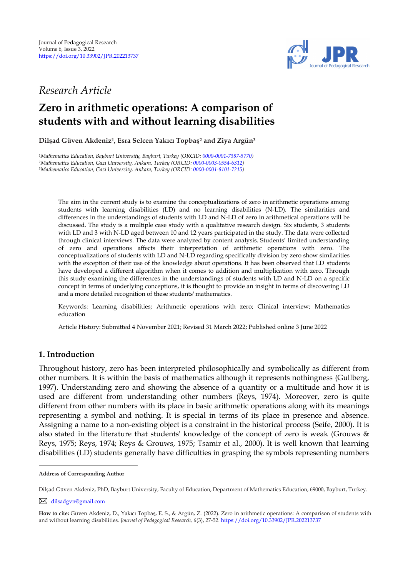

## *Research Article*

# **Zero in arithmetic operations: A comparison of students with and without learning disabilities**

**Dilşad Güven Akdeniz<sup>1</sup> , Esra Selcen Yakıcı Topbaş<sup>2</sup> and Ziya Argün<sup>3</sup>** 

*<sup>1</sup>Mathematics Education, Bayburt University, Bayburt, Turkey (ORCID[: 0000-0001-7387-5770\)](https://orcid.org/0000-0001-7387-5770) <sup>2</sup>Mathematics Education, Gazi University, Ankara, Turkey (ORCID: [0000-0003-0554-6312\)](http://www.orcid.org/0000-0003-0554-6312) <sup>3</sup>Mathematics Education, Gazi University, Ankara, Turkey (ORCID: [0000-0001-8101-7215\)](http://www.orcid.org/0000-0001-8101-7215)* 

The aim in the current study is to examine the conceptualizations of zero in arithmetic operations among students with learning disabilities (LD) and no learning disabilities (N-LD). The similarities and differences in the understandings of students with LD and N-LD of zero in arithmetical operations will be discussed. The study is a multiple case study with a qualitative research design. Six students, 3 students with LD and 3 with N-LD aged between 10 and 12 years participated in the study. The data were collected through clinical interviews. The data were analyzed by content analysis. Students' limited understanding of zero and operations affects their interpretation of arithmetic operations with zero. The conceptualizations of students with LD and N-LD regarding specifically division by zero show similarities with the exception of their use of the knowledge about operations. It has been observed that LD students have developed a different algorithm when it comes to addition and multiplication with zero. Through this study examining the differences in the understandings of students with LD and N-LD on a specific concept in terms of underlying conceptions, it is thought to provide an insight in terms of discovering LD and a more detailed recognition of these students' mathematics.

Keywords: Learning disabilities; Arithmetic operations with zero; Clinical interview; Mathematics education

Article History: Submitted 4 November 2021; Revised 31 March 2022; Published online 3 June 2022

## **1. Introduction**

Throughout history, zero has been interpreted philosophically and symbolically as different from other numbers. It is within the basis of mathematics although it represents nothingness (Gullberg, 1997). Understanding zero and showing the absence of a quantity or a multitude and how it is used are different from understanding other numbers (Reys, 1974). Moreover, zero is quite different from other numbers with its place in basic arithmetic operations along with its meanings representing a symbol and nothing. It is special in terms of its place in presence and absence. Assigning a name to a non-existing object is a constraint in the historical process (Seife, 2000). It is also stated in the literature that students' knowledge of the concept of zero is weak (Grouws & Reys, 1975; Reys, 1974; Reys & Grouws, 1975; Tsamir et al., 2000). It is well known that learning disabilities (LD) students generally have difficulties in grasping the symbols representing numbers

**Address of Corresponding Author**

Dilşad Güven Akdeniz, PhD, Bayburt University, Faculty of Education, Department of Mathematics Education, 69000, Bayburt, Turkey.

[dilsadgvn@gmail.com](mailto:dilsadgvn@gmail.com)

**How to cite:** Güven Akdeniz, D., Yakıcı Topbaş, E. S., & Argün, Z. (2022). Zero in arithmetic operations: A comparison of students with and without learning disabilities. *Journal of Pedagogical Research, 6*(3), 27-52. <https://doi.org/10.33902/JPR.202213737>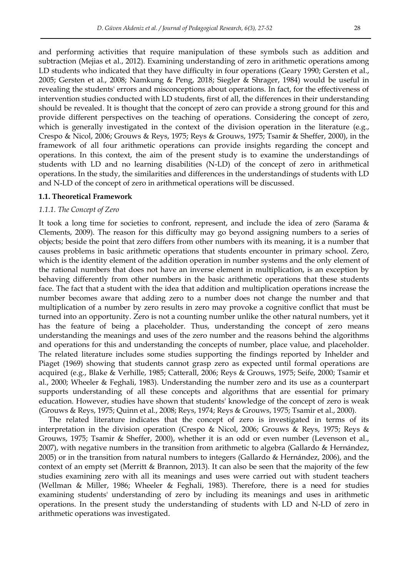and performing activities that require manipulation of these symbols such as addition and subtraction (Mejias et al., 2012). Examining understanding of zero in arithmetic operations among LD students who indicated that they have difficulty in four operations (Geary 1990; Gersten et al., 2005; Gersten et al., 2008; Namkung & Peng, 2018; Siegler & Shrager, 1984) would be useful in revealing the students' errors and misconceptions about operations. In fact, for the effectiveness of intervention studies conducted with LD students, first of all, the differences in their understanding should be revealed. It is thought that the concept of zero can provide a strong ground for this and provide different perspectives on the teaching of operations. Considering the concept of zero, which is generally investigated in the context of the division operation in the literature (e.g., Crespo & Nicol, 2006; Grouws & Reys, 1975; Reys & Grouws, 1975; Tsamir & Sheffer, 2000), in the framework of all four arithmetic operations can provide insights regarding the concept and operations. In this context, the aim of the present study is to examine the understandings of students with LD and no learning disabilities (N-LD) of the concept of zero in arithmetical operations. In the study, the similarities and differences in the understandings of students with LD and N-LD of the concept of zero in arithmetical operations will be discussed.

#### **1.1. Theoretical Framework**

#### *1.1.1. The Concept of Zero*

It took a long time for societies to confront, represent, and include the idea of zero (Sarama & Clements, 2009). The reason for this difficulty may go beyond assigning numbers to a series of objects; beside the point that zero differs from other numbers with its meaning, it is a number that causes problems in basic arithmetic operations that students encounter in primary school. Zero, which is the identity element of the addition operation in number systems and the only element of the rational numbers that does not have an inverse element in multiplication, is an exception by behaving differently from other numbers in the basic arithmetic operations that these students face. The fact that a student with the idea that addition and multiplication operations increase the number becomes aware that adding zero to a number does not change the number and that multiplication of a number by zero results in zero may provoke a cognitive conflict that must be turned into an opportunity. Zero is not a counting number unlike the other natural numbers, yet it has the feature of being a placeholder. Thus, understanding the concept of zero means understanding the meanings and uses of the zero number and the reasons behind the algorithms and operations for this and understanding the concepts of number, place value, and placeholder. The related literature includes some studies supporting the findings reported by Inhelder and Piaget (1969) showing that students cannot grasp zero as expected until formal operations are acquired (e.g., Blake & Verhille, 1985; Catterall, 2006; Reys & Grouws, 1975; Seife, 2000; Tsamir et al., 2000; Wheeler & Feghali, 1983). Understanding the number zero and its use as a counterpart supports understanding of all these concepts and algorithms that are essential for primary education. However, studies have shown that students' knowledge of the concept of zero is weak (Grouws & Reys, 1975; Quinn et al., 2008; Reys, 1974; Reys & Grouws, 1975; Tsamir et al., 2000).

The related literature indicates that the concept of zero is investigated in terms of its interpretation in the division operation (Crespo & Nicol, 2006; Grouws & Reys, 1975; Reys & Grouws, 1975; Tsamir & Sheffer, 2000), whether it is an odd or even number (Levenson et al., 2007), with negative numbers in the transition from arithmetic to algebra (Gallardo & Hernández, 2005) or in the transition from natural numbers to integers (Gallardo & Hernández, 2006), and the context of an empty set (Merritt & Brannon, 2013). It can also be seen that the majority of the few studies examining zero with all its meanings and uses were carried out with student teachers (Wellman & Miller, 1986; Wheeler & Feghali, 1983). Therefore, there is a need for studies examining students' understanding of zero by including its meanings and uses in arithmetic operations. In the present study the understanding of students with LD and N-LD of zero in arithmetic operations was investigated.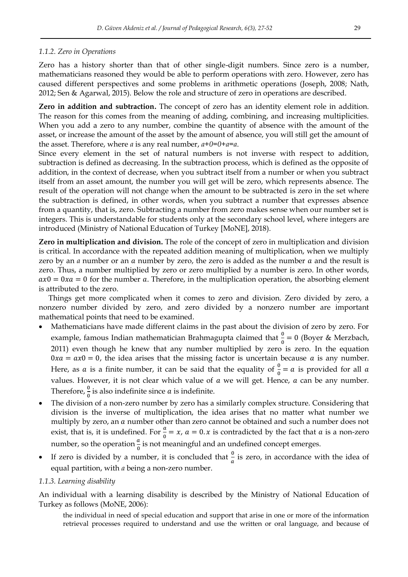## *1.1.2. Zero in Operations*

Zero has a history shorter than that of other single-digit numbers. Since zero is a number, mathematicians reasoned they would be able to perform operations with zero. However, zero has caused different perspectives and some problems in arithmetic operations (Joseph, 2008; Nath, 2012; Sen & Agarwal, 2015). Below the role and structure of zero in operations are described.

**Zero in addition and subtraction.** The concept of zero has an identity element role in addition. The reason for this comes from the meaning of adding, combining, and increasing multiplicities. When you add a zero to any number, combine the quantity of absence with the amount of the asset, or increase the amount of the asset by the amount of absence, you will still get the amount of the asset. Therefore, where *a* is any real number, *a+0=0+a=a*.

Since every element in the set of natural numbers is not inverse with respect to addition, subtraction is defined as decreasing. In the subtraction process, which is defined as the opposite of addition, in the context of decrease, when you subtract itself from a number or when you subtract itself from an asset amount, the number you will get will be zero, which represents absence. The result of the operation will not change when the amount to be subtracted is zero in the set where the subtraction is defined, in other words, when you subtract a number that expresses absence from a quantity, that is, zero. Subtracting a number from zero makes sense when our number set is integers. This is understandable for students only at the secondary school level, where integers are introduced (Ministry of National Education of Turkey [MoNE], 2018).

**Zero in multiplication and division.** The role of the concept of zero in multiplication and division is critical. In accordance with the repeated addition meaning of multiplication, when we multiply zero by an *a* number or an *a* number by zero, the zero is added as the number *a* and the result is zero. Thus, a number multiplied by zero or zero multiplied by a number is zero. In other words,  $ax0 = 0xa = 0$  for the number a. Therefore, in the multiplication operation, the absorbing element is attributed to the zero.

Things get more complicated when it comes to zero and division. Zero divided by zero, a nonzero number divided by zero, and zero divided by a nonzero number are important mathematical points that need to be examined.

- Mathematicians have made different claims in the past about the division of zero by zero. For example, famous Indian mathematician Brahmagupta claimed that  $\frac{0}{0} = 0$  (Boyer & Merzbach, 2011) even though he knew that any number multiplied by zero is zero. In the equation  $0xa = ax0 = 0$ , the idea arises that the missing factor is uncertain because a is any number. Here, as a is a finite number, it can be said that the equality of  $\frac{0}{0} = a$  is provided for all values. However, it is not clear which value of  $a$  we will get. Hence,  $a$  can be any number. Therefore,  $\frac{0}{0}$  is also indefinite since *a* is indefinite.
- The division of a non-zero number by zero has a similarly complex structure. Considering that division is the inverse of multiplication, the idea arises that no matter what number we multiply by zero, an a number other than zero cannot be obtained and such a number does not exist, that is, it is undefined. For  $\frac{a}{0} = x$ ,  $a = 0$ . x is contradicted by the fact that a is a non-zero number, so the operation  $\frac{a}{0}$  is not meaningful and an undefined concept emerges.
- If zero is divided by a number, it is concluded that  $\frac{0}{a}$  is zero, in accordance with the idea of equal partition, with *a* being a non-zero number.

## *1.1.3. Learning disability*

An individual with a learning disability is described by the Ministry of National Education of Turkey as follows (MoNE, 2006):

the individual in need of special education and support that arise in one or more of the information retrieval processes required to understand and use the written or oral language, and because of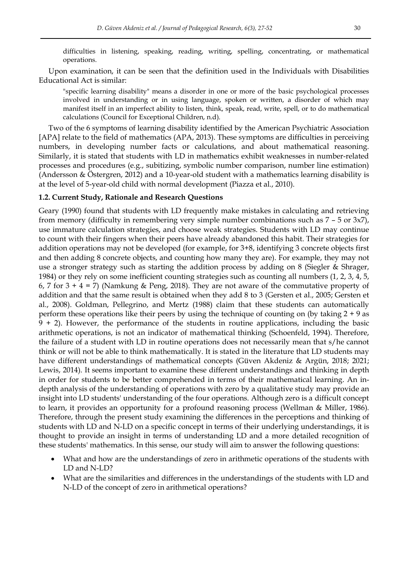difficulties in listening, speaking, reading, writing, spelling, concentrating, or mathematical operations.

Upon examination, it can be seen that the definition used in the Individuals with Disabilities Educational Act is similar:

"specific learning disability" means a disorder in one or more of the basic psychological processes involved in understanding or in using language, spoken or written, a disorder of which may manifest itself in an imperfect ability to listen, think, speak, read, write, spell, or to do mathematical calculations (Council for Exceptional Children, n.d).

Two of the 6 symptoms of learning disability identified by the American Psychiatric Association [APA] relate to the field of mathematics (APA, 2013). These symptoms are difficulties in perceiving numbers, in developing number facts or calculations, and about mathematical reasoning. Similarly, it is stated that students with LD in mathematics exhibit weaknesses in number-related processes and procedures (e.g., subitizing, symbolic number comparison, number line estimation) (Andersson & Östergren, 2012) and a 10-year-old student with a mathematics learning disability is at the level of 5-year-old child with normal development (Piazza et al., 2010).

#### **1.2. Current Study, Rationale and Research Questions**

Geary (1990) found that students with LD frequently make mistakes in calculating and retrieving from memory (difficulty in remembering very simple number combinations such as 7 – 5 or 3x7), use immature calculation strategies, and choose weak strategies. Students with LD may continue to count with their fingers when their peers have already abandoned this habit. Their strategies for addition operations may not be developed (for example, for 3+8, identifying 3 concrete objects first and then adding 8 concrete objects, and counting how many they are). For example, they may not use a stronger strategy such as starting the addition process by adding on 8 (Siegler & Shrager, 1984) or they rely on some inefficient counting strategies such as counting all numbers (1, 2, 3, 4, 5, 6, 7 for  $3 + 4 = 7$ ) (Namkung & Peng, 2018). They are not aware of the commutative property of addition and that the same result is obtained when they add 8 to 3 (Gersten et al., 2005; Gersten et al., 2008). Goldman, Pellegrino, and Mertz (1988) claim that these students can automatically perform these operations like their peers by using the technique of counting on (by taking 2 + 9 as 9 + 2). However, the performance of the students in routine applications, including the basic arithmetic operations, is not an indicator of mathematical thinking (Schoenfeld, 1994). Therefore, the failure of a student with LD in routine operations does not necessarily mean that s/he cannot think or will not be able to think mathematically. It is stated in the literature that LD students may have different understandings of mathematical concepts (Güven Akdeniz & Argün, 2018; 2021; Lewis, 2014). It seems important to examine these different understandings and thinking in depth in order for students to be better comprehended in terms of their mathematical learning. An indepth analysis of the understanding of operations with zero by a qualitative study may provide an insight into LD students' understanding of the four operations. Although zero is a difficult concept to learn, it provides an opportunity for a profound reasoning process (Wellman & Miller, 1986). Therefore, through the present study examining the differences in the perceptions and thinking of students with LD and N-LD on a specific concept in terms of their underlying understandings, it is thought to provide an insight in terms of understanding LD and a more detailed recognition of these students' mathematics. In this sense, our study will aim to answer the following questions:

- What and how are the understandings of zero in arithmetic operations of the students with LD and N-LD?
- What are the similarities and differences in the understandings of the students with LD and N-LD of the concept of zero in arithmetical operations?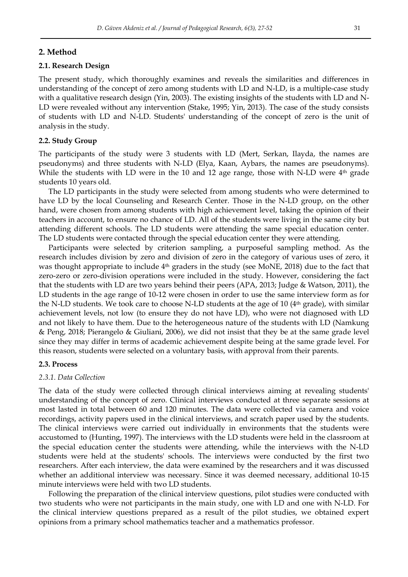## **2. Method**

#### **2.1. Research Design**

The present study, which thoroughly examines and reveals the similarities and differences in understanding of the concept of zero among students with LD and N-LD, is a multiple-case study with a qualitative research design (Yin, 2003). The existing insights of the students with LD and N-LD were revealed without any intervention (Stake, 1995; Yin, 2013). The case of the study consists of students with LD and N-LD. Students' understanding of the concept of zero is the unit of analysis in the study.

#### **2.2. Study Group**

The participants of the study were 3 students with LD (Mert, Serkan, Ilayda, the names are pseudonyms) and three students with N-LD (Elya, Kaan, Aybars, the names are pseudonyms). While the students with LD were in the 10 and 12 age range, those with N-LD were  $4<sup>th</sup>$  grade students 10 years old.

The LD participants in the study were selected from among students who were determined to have LD by the local Counseling and Research Center. Those in the N-LD group, on the other hand, were chosen from among students with high achievement level, taking the opinion of their teachers in account, to ensure no chance of LD. All of the students were living in the same city but attending different schools. The LD students were attending the same special education center. The LD students were contacted through the special education center they were attending.

Participants were selected by criterion sampling, a purposeful sampling method. As the research includes division by zero and division of zero in the category of various uses of zero, it was thought appropriate to include 4th graders in the study (see MoNE, 2018) due to the fact that zero-zero or zero-division operations were included in the study. However, considering the fact that the students with LD are two years behind their peers (APA, 2013; Judge & Watson, 2011), the LD students in the age range of 10-12 were chosen in order to use the same interview form as for the N-LD students. We took care to choose N-LD students at the age of 10 ( $4<sup>th</sup>$  grade), with similar achievement levels, not low (to ensure they do not have LD), who were not diagnosed with LD and not likely to have them. Due to the heterogeneous nature of the students with LD (Namkung & Peng, 2018; Pierangelo & Giuliani, 2006), we did not insist that they be at the same grade level since they may differ in terms of academic achievement despite being at the same grade level. For this reason, students were selected on a voluntary basis, with approval from their parents.

#### **2.3. Process**

#### *2.3.1. Data Collection*

The data of the study were collected through clinical interviews aiming at revealing students' understanding of the concept of zero. Clinical interviews conducted at three separate sessions at most lasted in total between 60 and 120 minutes. The data were collected via camera and voice recordings, activity papers used in the clinical interviews, and scratch paper used by the students. The clinical interviews were carried out individually in environments that the students were accustomed to (Hunting, 1997). The interviews with the LD students were held in the classroom at the special education center the students were attending, while the interviews with the N-LD students were held at the students' schools. The interviews were conducted by the first two researchers. After each interview, the data were examined by the researchers and it was discussed whether an additional interview was necessary. Since it was deemed necessary, additional 10-15 minute interviews were held with two LD students.

Following the preparation of the clinical interview questions, pilot studies were conducted with two students who were not participants in the main study, one with LD and one with N-LD. For the clinical interview questions prepared as a result of the pilot studies, we obtained expert opinions from a primary school mathematics teacher and a mathematics professor.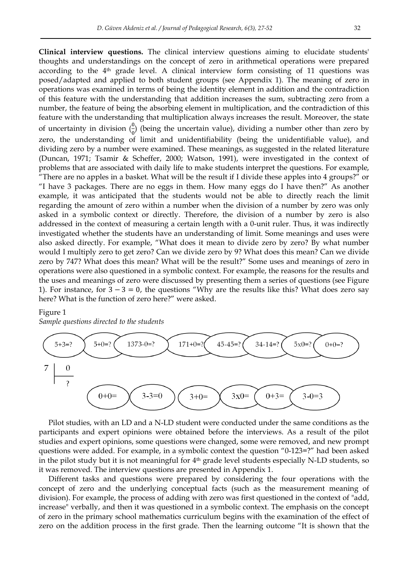**Clinical interview questions.** The clinical interview questions aiming to elucidate students' thoughts and understandings on the concept of zero in arithmetical operations were prepared according to the  $4<sup>th</sup>$  grade level. A clinical interview form consisting of 11 questions was posed/adapted and applied to both student groups (see Appendix 1). The meaning of zero in operations was examined in terms of being the identity element in addition and the contradiction of this feature with the understanding that addition increases the sum, subtracting zero from a number, the feature of being the absorbing element in multiplication, and the contradiction of this feature with the understanding that multiplication always increases the result. Moreover, the state of uncertainty in division  $\left(\frac{0}{0}\right)$  $\frac{0}{0}$ ) (being the uncertain value), dividing a number other than zero by zero, the understanding of limit and unidentifiability (being the unidentifiable value), and dividing zero by a number were examined. These meanings, as suggested in the related literature (Duncan, 1971; Tsamir & Scheffer, 2000; Watson, 1991), were investigated in the context of problems that are associated with daily life to make students interpret the questions. For example, "There are no apples in a basket. What will be the result if I divide these apples into 4 groups?" or "I have 3 packages. There are no eggs in them. How many eggs do I have then?" As another example, it was anticipated that the students would not be able to directly reach the limit regarding the amount of zero within a number when the division of a number by zero was only asked in a symbolic context or directly. Therefore, the division of a number by zero is also addressed in the context of measuring a certain length with a 0-unit ruler. Thus, it was indirectly investigated whether the students have an understanding of limit. Some meanings and uses were also asked directly. For example, "What does it mean to divide zero by zero? By what number would I multiply zero to get zero? Can we divide zero by 9? What does this mean? Can we divide zero by 747? What does this mean? What will be the result?" Some uses and meanings of zero in operations were also questioned in a symbolic context. For example, the reasons for the results and the uses and meanings of zero were discussed by presenting them a series of questions (see Figure 1). For instance, for  $3 - 3 = 0$ , the questions "Why are the results like this? What does zero say here? What is the function of zero here?" were asked.

## Figure 1

*Sample questions directed to the students*



Pilot studies, with an LD and a N-LD student were conducted under the same conditions as the participants and expert opinions were obtained before the interviews. As a result of the pilot studies and expert opinions, some questions were changed, some were removed, and new prompt questions were added. For example, in a symbolic context the question  $"0-123=?"$  had been asked in the pilot study but it is not meaningful for 4<sup>th</sup> grade level students especially N-LD students, so it was removed. The interview questions are presented in Appendix 1.

Different tasks and questions were prepared by considering the four operations with the concept of zero and the underlying conceptual facts (such as the measurement meaning of division). For example, the process of adding with zero was first questioned in the context of "add, increase" verbally, and then it was questioned in a symbolic context. The emphasis on the concept of zero in the primary school mathematics curriculum begins with the examination of the effect of zero on the addition process in the first grade. Then the learning outcome "It is shown that the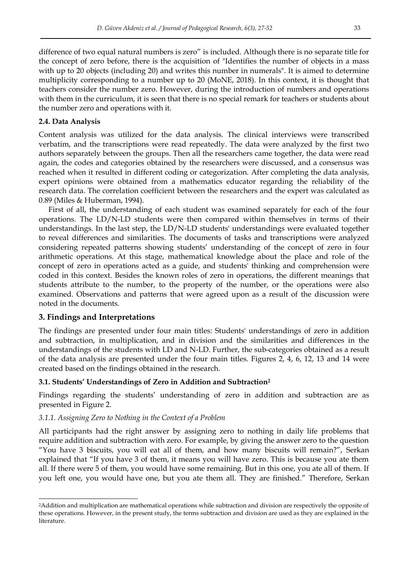difference of two equal natural numbers is zero" is included. Although there is no separate title for the concept of zero before, there is the acquisition of "Identifies the number of objects in a mass with up to 20 objects (including 20) and writes this number in numerals". It is aimed to determine multiplicity corresponding to a number up to 20 (MoNE, 2018). In this context, it is thought that teachers consider the number zero. However, during the introduction of numbers and operations with them in the curriculum, it is seen that there is no special remark for teachers or students about the number zero and operations with it.

## **2.4. Data Analysis**

Content analysis was utilized for the data analysis. The clinical interviews were transcribed verbatim, and the transcriptions were read repeatedly. The data were analyzed by the first two authors separately between the groups. Then all the researchers came together, the data were read again, the codes and categories obtained by the researchers were discussed, and a consensus was reached when it resulted in different coding or categorization. After completing the data analysis, expert opinions were obtained from a mathematics educator regarding the reliability of the research data. The correlation coefficient between the researchers and the expert was calculated as 0.89 (Miles & Huberman, 1994).

First of all, the understanding of each student was examined separately for each of the four operations. The LD/N-LD students were then compared within themselves in terms of their understandings. In the last step, the LD/N-LD students' understandings were evaluated together to reveal differences and similarities. The documents of tasks and transcriptions were analyzed considering repeated patterns showing students' understanding of the concept of zero in four arithmetic operations. At this stage, mathematical knowledge about the place and role of the concept of zero in operations acted as a guide, and students' thinking and comprehension were coded in this context. Besides the known roles of zero in operations, the different meanings that students attribute to the number, to the property of the number, or the operations were also examined. Observations and patterns that were agreed upon as a result of the discussion were noted in the documents.

## **3. Findings and Interpretations**

-

The findings are presented under four main titles: Students' understandings of zero in addition and subtraction, in multiplication, and in division and the similarities and differences in the understandings of the students with LD and N-LD. Further, the sub-categories obtained as a result of the data analysis are presented under the four main titles. Figures 2, 4, 6, 12, 13 and 14 were created based on the findings obtained in the research.

## **3.1. Students' Understandings of Zero in Addition and Subtraction<sup>2</sup>**

Findings regarding the students' understanding of zero in addition and subtraction are as presented in Figure 2.

## *3.1.1. Assigning Zero to Nothing in the Context of a Problem*

All participants had the right answer by assigning zero to nothing in daily life problems that require addition and subtraction with zero. For example, by giving the answer zero to the question "You have 3 biscuits, you will eat all of them, and how many biscuits will remain?", Serkan explained that "If you have 3 of them, it means you will have zero. This is because you ate them all. If there were 5 of them, you would have some remaining. But in this one, you ate all of them. If you left one, you would have one, but you ate them all. They are finished." Therefore, Serkan

<sup>2</sup>Addition and multiplication are mathematical operations while subtraction and division are respectively the opposite of these operations. However, in the present study, the terms subtraction and division are used as they are explained in the literature.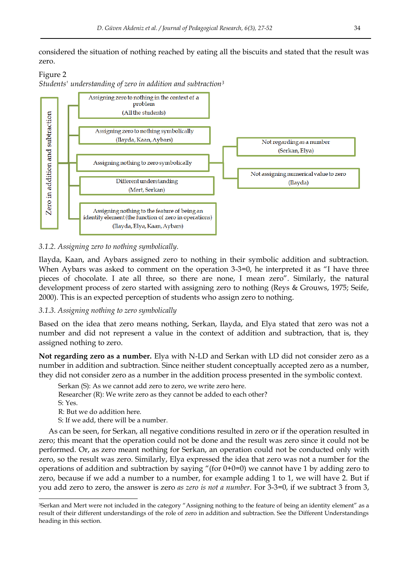considered the situation of nothing reached by eating all the biscuits and stated that the result was zero.

## Figure 2 *Students' understanding of zero in addition and subtraction<sup>3</sup>*



## *3.1.2. Assigning zero to nothing symbolically.*

Ilayda, Kaan, and Aybars assigned zero to nothing in their symbolic addition and subtraction. When Aybars was asked to comment on the operation  $3-3=0$ , he interpreted it as "I have three pieces of chocolate. I ate all three, so there are none, I mean zero". Similarly, the natural development process of zero started with assigning zero to nothing (Reys & Grouws, 1975; Seife, 2000). This is an expected perception of students who assign zero to nothing.

## *3.1.3. Assigning nothing to zero symbolically*

Based on the idea that zero means nothing, Serkan, Ilayda, and Elya stated that zero was not a number and did not represent a value in the context of addition and subtraction, that is, they assigned nothing to zero.

**Not regarding zero as a number.** Elya with N-LD and Serkan with LD did not consider zero as a number in addition and subtraction. Since neither student conceptually accepted zero as a number, they did not consider zero as a number in the addition process presented in the symbolic context.

Serkan (S): As we cannot add zero to zero, we write zero here.

Researcher (R): We write zero as they cannot be added to each other?

S: Yes.

-

R: But we do addition here.

S: If we add, there will be a number.

As can be seen, for Serkan, all negative conditions resulted in zero or if the operation resulted in zero; this meant that the operation could not be done and the result was zero since it could not be performed. Or, as zero meant nothing for Serkan, an operation could not be conducted only with zero, so the result was zero. Similarly, Elya expressed the idea that zero was not a number for the operations of addition and subtraction by saying "(for  $0+0=0$ ) we cannot have 1 by adding zero to zero, because if we add a number to a number, for example adding 1 to 1, we will have 2. But if you add zero to zero, the answer is zero *as zero is not a number*. For 3-3=0, if we subtract 3 from 3,

<sup>&</sup>lt;sup>3</sup>Serkan and Mert were not included in the category "Assigning nothing to the feature of being an identity element" as a result of their different understandings of the role of zero in addition and subtraction. See the Different Understandings heading in this section.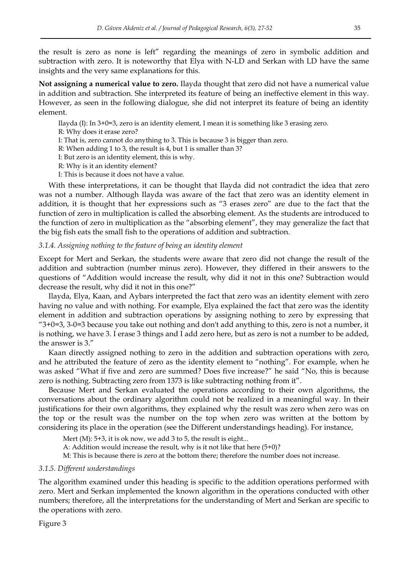the result is zero as none is left" regarding the meanings of zero in symbolic addition and subtraction with zero. It is noteworthy that Elya with N-LD and Serkan with LD have the same insights and the very same explanations for this.

**Not assigning a numerical value to zero.** Ilayda thought that zero did not have a numerical value in addition and subtraction. She interpreted its feature of being an ineffective element in this way. However, as seen in the following dialogue, she did not interpret its feature of being an identity element.

Ilayda (I): In 3+0=3, zero is an identity element, I mean it is something like 3 erasing zero. R: Why does it erase zero? I: That is, zero cannot do anything to 3. This is because 3 is bigger than zero. R: When adding 1 to 3, the result is 4, but 1 is smaller than 3? I: But zero is an identity element, this is why. R: Why is it an identity element? I: This is because it does not have a value.

With these interpretations, it can be thought that Ilayda did not contradict the idea that zero was not a number. Although Ilayda was aware of the fact that zero was an identity element in addition, it is thought that her expressions such as "3 erases zero" are due to the fact that the function of zero in multiplication is called the absorbing element. As the students are introduced to the function of zero in multiplication as the "absorbing element", they may generalize the fact that the big fish eats the small fish to the operations of addition and subtraction.

#### *3.1.4. Assigning nothing to the feature of being an identity element*

Except for Mert and Serkan, the students were aware that zero did not change the result of the addition and subtraction (number minus zero). However, they differed in their answers to the questions of "Addition would increase the result, why did it not in this one? Subtraction would decrease the result, why did it not in this one?"

Ilayda, Elya, Kaan, and Aybars interpreted the fact that zero was an identity element with zero having no value and with nothing. For example, Elya explained the fact that zero was the identity element in addition and subtraction operations by assigning nothing to zero by expressing that " $3+0=3$ ,  $3-0=3$  because you take out nothing and don't add anything to this, zero is not a number, it is nothing, we have 3. I erase 3 things and I add zero here, but as zero is not a number to be added, the answer is 3."

Kaan directly assigned nothing to zero in the addition and subtraction operations with zero, and he attributed the feature of zero as the identity element to "nothing". For example, when he was asked "What if five and zero are summed? Does five increase?" he said "No, this is because zero is nothing. Subtracting zero from 1373 is like subtracting nothing from it".

Because Mert and Serkan evaluated the operations according to their own algorithms, the conversations about the ordinary algorithm could not be realized in a meaningful way. In their justifications for their own algorithms, they explained why the result was zero when zero was on the top or the result was the number on the top when zero was written at the bottom by considering its place in the operation (see the Different understandings heading). For instance,

Mert (M): 5+3, it is ok now, we add 3 to 5, the result is eight...

A: Addition would increase the result, why is it not like that here (5+0)?

M: This is because there is zero at the bottom there; therefore the number does not increase.

#### *3.1.5. Different understandings*

The algorithm examined under this heading is specific to the addition operations performed with zero. Mert and Serkan implemented the known algorithm in the operations conducted with other numbers; therefore, all the interpretations for the understanding of Mert and Serkan are specific to the operations with zero.

Figure 3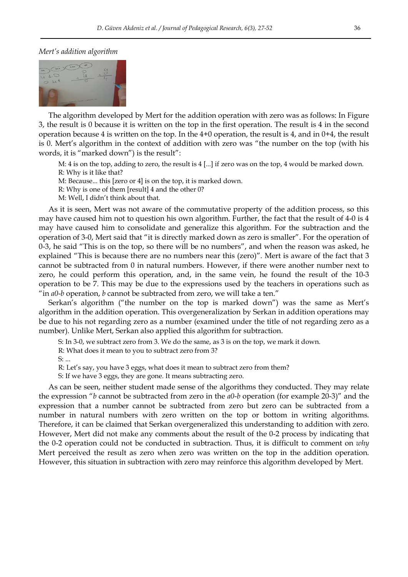#### *Mert's addition algorithm*



The algorithm developed by Mert for the addition operation with zero was as follows: In Figure 3, the result is 0 because it is written on the top in the first operation. The result is 4 in the second operation because 4 is written on the top. In the 4+0 operation, the result is 4, and in 0+4, the result is 0. Mert's algorithm in the context of addition with zero was "the number on the top (with his words, it is "marked down") is the result":

M: 4 is on the top, adding to zero, the result is 4 [...] if zero was on the top, 4 would be marked down. R: Why is it like that?

M: Because... this [zero or 4] is on the top, it is marked down.

R: Why is one of them [result] 4 and the other 0?

M: Well, I didn't think about that.

As it is seen, Mert was not aware of the commutative property of the addition process, so this may have caused him not to question his own algorithm. Further, the fact that the result of 4-0 is 4 may have caused him to consolidate and generalize this algorithm. For the subtraction and the operation of 3-0, Mert said that "it is directly marked down as zero is smaller". For the operation of 0-3, he said "This is on the top, so there will be no numbers", and when the reason was asked, he explained "This is because there are no numbers near this (zero)". Mert is aware of the fact that 3 cannot be subtracted from 0 in natural numbers. However, if there were another number next to zero, he could perform this operation, and, in the same vein, he found the result of the 10-3 operation to be 7. This may be due to the expressions used by the teachers in operations such as "in *a0-b* operation, *b* cannot be subtracted from zero, we will take a ten."

Serkan's algorithm ("the number on the top is marked down") was the same as Mert's algorithm in the addition operation. This overgeneralization by Serkan in addition operations may be due to his not regarding zero as a number (examined under the title of not regarding zero as a number). Unlike Mert, Serkan also applied this algorithm for subtraction.

S: In 3-0, we subtract zero from 3. We do the same, as 3 is on the top, we mark it down.

R: What does it mean to you to subtract zero from 3?

S: ...

R: Let's say, you have 3 eggs, what does it mean to subtract zero from them?

S: If we have 3 eggs, they are gone. It means subtracting zero.

As can be seen, neither student made sense of the algorithms they conducted. They may relate the expression "*b* cannot be subtracted from zero in the *a0-b* operation (for example 20-3)" and the expression that a number cannot be subtracted from zero but zero can be subtracted from a number in natural numbers with zero written on the top or bottom in writing algorithms. Therefore, it can be claimed that Serkan overgeneralized this understanding to addition with zero. However, Mert did not make any comments about the result of the 0-2 process by indicating that the 0-2 operation could not be conducted in subtraction. Thus, it is difficult to comment on *why* Mert perceived the result as zero when zero was written on the top in the addition operation. However, this situation in subtraction with zero may reinforce this algorithm developed by Mert.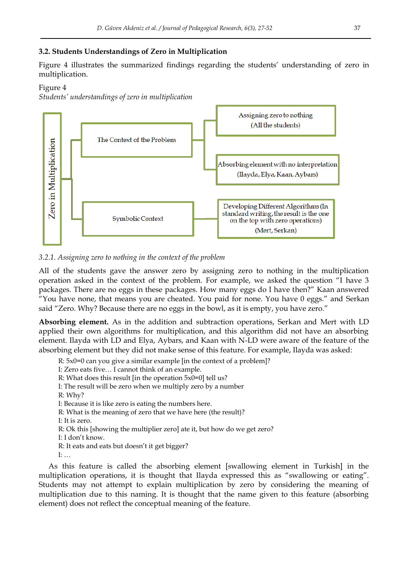## **3.2. Students Understandings of Zero in Multiplication**

Figure 4 illustrates the summarized findings regarding the students' understanding of zero in multiplication.

## Figure 4

*Students' understandings of zero in multiplication*



## *3.2.1. Assigning zero to nothing in the context of the problem*

All of the students gave the answer zero by assigning zero to nothing in the multiplication operation asked in the context of the problem. For example, we asked the question "I have 3 packages. There are no eggs in these packages. How many eggs do I have then?‖ Kaan answered "You have none, that means you are cheated. You paid for none. You have 0 eggs." and Serkan said "Zero. Why? Because there are no eggs in the bowl, as it is empty, you have zero."

**Absorbing element.** As in the addition and subtraction operations, Serkan and Mert with LD applied their own algorithms for multiplication, and this algorithm did not have an absorbing element. Ilayda with LD and Elya, Aybars, and Kaan with N-LD were aware of the feature of the absorbing element but they did not make sense of this feature. For example, Ilayda was asked:

R: 5x0=0 can you give a similar example [in the context of a problem]?

I: Zero eats five… I cannot think of an example.

R: What does this result [in the operation 5x0=0] tell us?

I: The result will be zero when we multiply zero by a number

R: Why?

I: Because it is like zero is eating the numbers here.

R: What is the meaning of zero that we have here (the result)?

I: It is zero.

R: Ok this [showing the multiplier zero] ate it, but how do we get zero?

I: I don't know.

R: It eats and eats but doesn't it get bigger?

I: …

As this feature is called the absorbing element [swallowing element in Turkish] in the multiplication operations, it is thought that Ilayda expressed this as "swallowing or eating". Students may not attempt to explain multiplication by zero by considering the meaning of multiplication due to this naming. It is thought that the name given to this feature (absorbing element) does not reflect the conceptual meaning of the feature.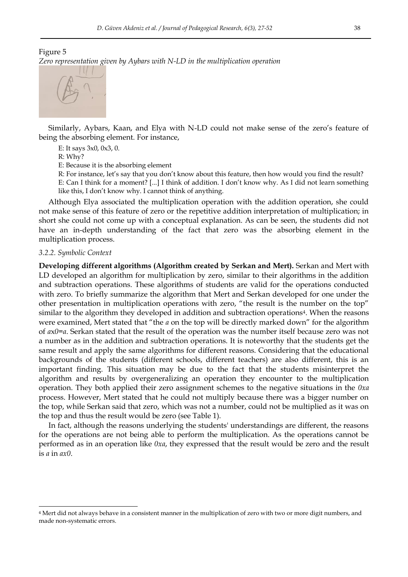## Figure 5 *Zero representation given by Aybars with N-LD in the multiplication operation*



Similarly, Aybars, Kaan, and Elya with N-LD could not make sense of the zero's feature of being the absorbing element. For instance,

E: It says 3x0, 0x3, 0.

R: Why?

E: Because it is the absorbing element

R: For instance, let's say that you don't know about this feature, then how would you find the result?

E: Can I think for a moment? [...] I think of addition. I don't know why. As I did not learn something like this, I don't know why. I cannot think of anything.

Although Elya associated the multiplication operation with the addition operation, she could not make sense of this feature of zero or the repetitive addition interpretation of multiplication; in short she could not come up with a conceptual explanation. As can be seen, the students did not have an in-depth understanding of the fact that zero was the absorbing element in the multiplication process.

## *3.2.2. Symbolic Context*

-

**Developing different algorithms (Algorithm created by Serkan and Mert).** Serkan and Mert with LD developed an algorithm for multiplication by zero, similar to their algorithms in the addition and subtraction operations. These algorithms of students are valid for the operations conducted with zero. To briefly summarize the algorithm that Mert and Serkan developed for one under the other presentation in multiplication operations with zero, "the result is the number on the top" similar to the algorithm they developed in addition and subtraction operations4. When the reasons were examined, Mert stated that "the *a* on the top will be directly marked down" for the algorithm of *a*x*0*=*a*. Serkan stated that the result of the operation was the number itself because zero was not a number as in the addition and subtraction operations. It is noteworthy that the students get the same result and apply the same algorithms for different reasons. Considering that the educational backgrounds of the students (different schools, different teachers) are also different, this is an important finding. This situation may be due to the fact that the students misinterpret the algorithm and results by overgeneralizing an operation they encounter to the multiplication operation. They both applied their zero assignment schemes to the negative situations in the *0xa* process. However, Mert stated that he could not multiply because there was a bigger number on the top, while Serkan said that zero, which was not a number, could not be multiplied as it was on the top and thus the result would be zero (see Table 1).

In fact, although the reasons underlying the students' understandings are different, the reasons for the operations are not being able to perform the multiplication. As the operations cannot be performed as in an operation like *0xa*, they expressed that the result would be zero and the result is *a* in *ax0*.

<sup>4</sup> Mert did not always behave in a consistent manner in the multiplication of zero with two or more digit numbers, and made non-systematic errors.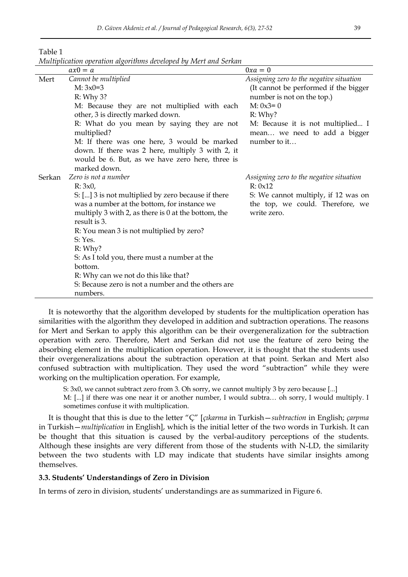|        | нипирисанон оренинон агхонить ассеторса бу туюн ана эстми<br>$ax0 = a$ | $0xa=0$                                             |
|--------|------------------------------------------------------------------------|-----------------------------------------------------|
| Mert   | Cannot be multiplied                                                   | Assigning zero to the negative situation            |
|        | $M: 3x0=3$                                                             | (It cannot be performed if the bigger               |
|        | R: Why 3?                                                              | number is not on the top.)                          |
|        | M: Because they are not multiplied with each                           | $M: 0x3=0$                                          |
|        | other, 3 is directly marked down.                                      | R: Why?                                             |
|        | R: What do you mean by saying they are not                             | M: Because it is not multiplied I                   |
|        | multiplied?                                                            | mean we need to add a bigger                        |
|        | M: If there was one here, 3 would be marked                            | number to it                                        |
|        | down. If there was 2 here, multiply 3 with 2, it                       |                                                     |
|        | would be 6. But, as we have zero here, three is                        |                                                     |
|        | marked down.                                                           |                                                     |
| Serkan | Zero is not a number                                                   | Assigning zero to the negative situation<br>R: 0x12 |
|        | R: 3x0<br>S: [] 3 is not multiplied by zero because if there           | S: We cannot multiply, if 12 was on                 |
|        | was a number at the bottom, for instance we                            | the top, we could. Therefore, we                    |
|        | multiply 3 with 2, as there is $0$ at the bottom, the                  | write zero.                                         |
|        | result is 3.                                                           |                                                     |
|        | R: You mean 3 is not multiplied by zero?                               |                                                     |
|        | S: Yes.                                                                |                                                     |
|        | R: Why?                                                                |                                                     |
|        | S: As I told you, there must a number at the                           |                                                     |
|        | bottom.                                                                |                                                     |
|        | R: Why can we not do this like that?                                   |                                                     |
|        | S: Because zero is not a number and the others are                     |                                                     |
|        | numbers.                                                               |                                                     |

Table 1 *Multiplication operation algorithms developed by Mert and Serkan*

It is noteworthy that the algorithm developed by students for the multiplication operation has similarities with the algorithm they developed in addition and subtraction operations. The reasons for Mert and Serkan to apply this algorithm can be their overgeneralization for the subtraction operation with zero. Therefore, Mert and Serkan did not use the feature of zero being the absorbing element in the multiplication operation. However, it is thought that the students used their overgeneralizations about the subtraction operation at that point. Serkan and Mert also confused subtraction with multiplication. They used the word "subtraction" while they were working on the multiplication operation. For example,

S: 3x0, we cannot subtract zero from 3. Oh sorry, we cannot multiply 3 by zero because [...]

M: [...] if there was one near it or another number, I would subtra… oh sorry, I would multiply. I sometimes confuse it with multiplication.

It is thought that this is due to the letter "Ç" [*çıkarma* in Turkish—*subtraction* in English; *çarpma* in Turkish—*multiplication* in English], which is the initial letter of the two words in Turkish. It can be thought that this situation is caused by the verbal-auditory perceptions of the students. Although these insights are very different from those of the students with N-LD, the similarity between the two students with LD may indicate that students have similar insights among themselves.

#### **3.3. Students' Understandings of Zero in Division**

In terms of zero in division, students' understandings are as summarized in Figure 6.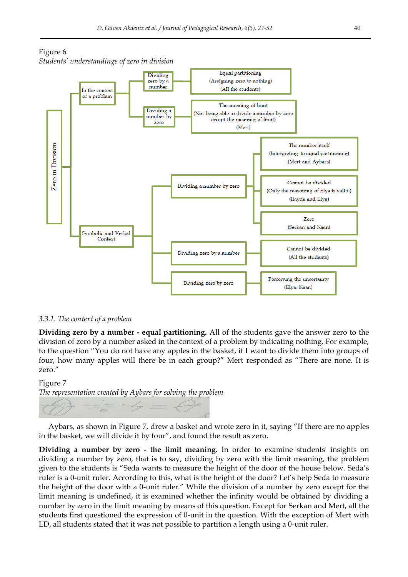



#### *3.3.1. The context of a problem*

**Dividing zero by a number - equal partitioning.** All of the students gave the answer zero to the division of zero by a number asked in the context of a problem by indicating nothing. For example, to the question ―You do not have any apples in the basket, if I want to divide them into groups of four, how many apples will there be in each group?" Mert responded as "There are none. It is zero."

# Figure 7 *The representation created by Aybars for solving the problem*

Aybars, as shown in Figure 7, drew a basket and wrote zero in it, saying "If there are no apples in the basket, we will divide it by four", and found the result as zero.

**Dividing a number by zero - the limit meaning.** In order to examine students' insights on dividing a number by zero, that is to say, dividing by zero with the limit meaning, the problem given to the students is "Seda wants to measure the height of the door of the house below. Seda's ruler is a 0-unit ruler. According to this, what is the height of the door? Let's help Seda to measure the height of the door with a 0-unit ruler." While the division of a number by zero except for the limit meaning is undefined, it is examined whether the infinity would be obtained by dividing a number by zero in the limit meaning by means of this question. Except for Serkan and Mert, all the students first questioned the expression of 0-unit in the question. With the exception of Mert with LD, all students stated that it was not possible to partition a length using a 0-unit ruler.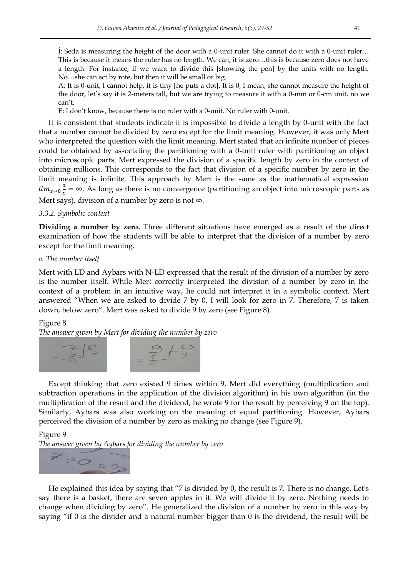İ: Seda is measuring the height of the door with a 0-unit ruler. She cannot do it with a 0-unit ruler… This is because it means the ruler has no length. We can, it is zero…this is because zero does not have a length. For instance, if we want to divide this [showing the pen] by the units with no length. No…she can act by rote, but then it will be small or big.

A: It is 0-unit, I cannot help, it is tiny [he puts a dot]. It is 0, I mean, she cannot measure the height of the door, let's say it is 2-meters tall, but we are trying to measure it with a 0-mm or 0-cm unit, no we can't.

E: I don't know, because there is no ruler with a 0-unit. No ruler with 0-unit.

It is consistent that students indicate it is impossible to divide a length by 0-unit with the fact that a number cannot be divided by zero except for the limit meaning. However, it was only Mert who interpreted the question with the limit meaning. Mert stated that an infinite number of pieces could be obtained by associating the partitioning with a 0-unit ruler with partitioning an object into microscopic parts. Mert expressed the division of a specific length by zero in the context of obtaining millions. This corresponds to the fact that division of a specific number by zero in the limit meaning is infinite. This approach by Mert is the same as the mathematical expression  $lim_{x\to 0} \frac{a}{x}$  $\frac{a}{x} = \infty$ . As long as there is no convergence (partitioning an object into microscopic parts as Mert says), division of a number by zero is not  $\infty$ .

## *3.3.2. Symbolic context*

**Dividing a number by zero.** Three different situations have emerged as a result of the direct examination of how the students will be able to interpret that the division of a number by zero except for the limit meaning.

#### *a. The number itself*

Mert with LD and Aybars with N-LD expressed that the result of the division of a number by zero is the number itself. While Mert correctly interpreted the division of a number by zero in the context of a problem in an intuitive way, he could not interpret it in a symbolic context. Mert answered "When we are asked to divide 7 by 0, I will look for zero in 7. Therefore, 7 is taken down, below zero". Mert was asked to divide 9 by zero (see Figure 8).

## Figure 8

*The answer given by Mert for dividing the number by zero*



Except thinking that zero existed 9 times within 9, Mert did everything (multiplication and subtraction operations in the application of the division algorithm) in his own algorithm (in the multiplication of the result and the dividend, he wrote 9 for the result by perceiving 9 on the top). Similarly, Aybars was also working on the meaning of equal partitioning. However, Aybars perceived the division of a number by zero as making no change (see Figure 9).

#### Figure 9



He explained this idea by saying that "7 is divided by 0, the result is 7. There is no change. Let's say there is a basket, there are seven apples in it. We will divide it by zero. Nothing needs to change when dividing by zero". He generalized the division of a number by zero in this way by saying "if  $0$  is the divider and a natural number bigger than  $0$  is the dividend, the result will be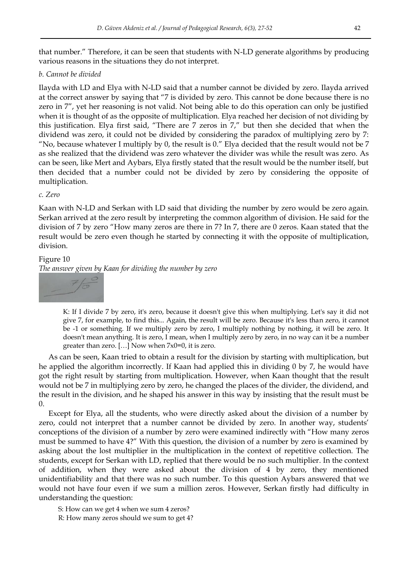that number.‖ Therefore, it can be seen that students with N-LD generate algorithms by producing various reasons in the situations they do not interpret.

## *b. Cannot be divided*

Ilayda with LD and Elya with N-LD said that a number cannot be divided by zero. Ilayda arrived at the correct answer by saying that "7 is divided by zero. This cannot be done because there is no zero in 7", yet her reasoning is not valid. Not being able to do this operation can only be justified when it is thought of as the opposite of multiplication. Elya reached her decision of not dividing by this justification. Elya first said, "There are 7 zeros in 7," but then she decided that when the dividend was zero, it could not be divided by considering the paradox of multiplying zero by 7: "No, because whatever I multiply by 0, the result is  $0$ ." Elya decided that the result would not be 7 as she realized that the dividend was zero whatever the divider was while the result was zero. As can be seen, like Mert and Aybars, Elya firstly stated that the result would be the number itself, but then decided that a number could not be divided by zero by considering the opposite of multiplication.

## *c. Zero*

Kaan with N-LD and Serkan with LD said that dividing the number by zero would be zero again. Serkan arrived at the zero result by interpreting the common algorithm of division. He said for the division of 7 by zero "How many zeros are there in 7? In 7, there are 0 zeros. Kaan stated that the result would be zero even though he started by connecting it with the opposite of multiplication, division.

## Figure 10

*The answer given by Kaan for dividing the number by zero* 



K: If I divide 7 by zero, it's zero, because it doesn't give this when multiplying. Let's say it did not give 7, for example, to find this... Again, the result will be zero. Because it's less than zero, it cannot be -1 or something. If we multiply zero by zero, I multiply nothing by nothing, it will be zero. It doesn't mean anything. It is zero, I mean, when I multiply zero by zero, in no way can it be a number greater than zero. […] Now when 7x0=0, it is zero.

As can be seen, Kaan tried to obtain a result for the division by starting with multiplication, but he applied the algorithm incorrectly. If Kaan had applied this in dividing 0 by 7, he would have got the right result by starting from multiplication. However, when Kaan thought that the result would not be 7 in multiplying zero by zero, he changed the places of the divider, the dividend, and the result in the division, and he shaped his answer in this way by insisting that the result must be 0.

Except for Elya, all the students, who were directly asked about the division of a number by zero, could not interpret that a number cannot be divided by zero. In another way, students' conceptions of the division of a number by zero were examined indirectly with "How many zeros must be summed to have 4?" With this question, the division of a number by zero is examined by asking about the lost multiplier in the multiplication in the context of repetitive collection. The students, except for Serkan with LD, replied that there would be no such multiplier. In the context of addition, when they were asked about the division of 4 by zero, they mentioned unidentifiability and that there was no such number. To this question Aybars answered that we would not have four even if we sum a million zeros. However, Serkan firstly had difficulty in understanding the question:

S: How can we get 4 when we sum 4 zeros?

R: How many zeros should we sum to get 4?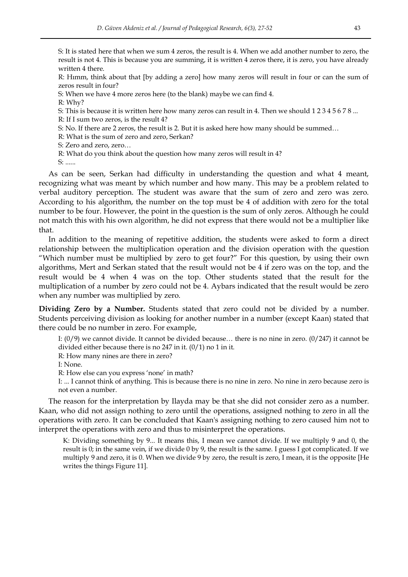S: It is stated here that when we sum 4 zeros, the result is 4. When we add another number to zero, the result is not 4. This is because you are summing, it is written 4 zeros there, it is zero, you have already written 4 there.

R: Hımm, think about that [by adding a zero] how many zeros will result in four or can the sum of zeros result in four?

S: When we have 4 more zeros here (to the blank) maybe we can find 4.

R: Why?

S: This is because it is written here how many zeros can result in 4. Then we should 1 2 3 4 5 6 7 8 ...

R: If I sum two zeros, is the result 4?

S: No. If there are 2 zeros, the result is 2. But it is asked here how many should be summed…

R: What is the sum of zero and zero, Serkan?

S: Zero and zero, zero…

R: What do you think about the question how many zeros will result in 4?

S: ......

As can be seen, Serkan had difficulty in understanding the question and what 4 meant, recognizing what was meant by which number and how many. This may be a problem related to verbal auditory perception. The student was aware that the sum of zero and zero was zero. According to his algorithm, the number on the top must be 4 of addition with zero for the total number to be four. However, the point in the question is the sum of only zeros. Although he could not match this with his own algorithm, he did not express that there would not be a multiplier like that.

In addition to the meaning of repetitive addition, the students were asked to form a direct relationship between the multiplication operation and the division operation with the question "Which number must be multiplied by zero to get four?" For this question, by using their own algorithms, Mert and Serkan stated that the result would not be 4 if zero was on the top, and the result would be 4 when 4 was on the top. Other students stated that the result for the multiplication of a number by zero could not be 4. Aybars indicated that the result would be zero when any number was multiplied by zero.

**Dividing Zero by a Number.** Students stated that zero could not be divided by a number. Students perceiving division as looking for another number in a number (except Kaan) stated that there could be no number in zero. For example,

I: (0/9) we cannot divide. It cannot be divided because… there is no nine in zero. (0/247) it cannot be divided either because there is no 247 in it. (0/1) no 1 in it.

R: How many nines are there in zero?

I: None.

R: How else can you express 'none' in math?

I: ... I cannot think of anything. This is because there is no nine in zero. No nine in zero because zero is not even a number.

The reason for the interpretation by Ilayda may be that she did not consider zero as a number. Kaan, who did not assign nothing to zero until the operations, assigned nothing to zero in all the operations with zero. It can be concluded that Kaan's assigning nothing to zero caused him not to interpret the operations with zero and thus to misinterpret the operations.

K: Dividing something by 9... It means this, I mean we cannot divide. If we multiply 9 and 0, the result is 0; in the same vein, if we divide 0 by 9, the result is the same. I guess I got complicated. If we multiply 9 and zero, it is 0. When we divide 9 by zero, the result is zero, I mean, it is the opposite [He writes the things Figure 11].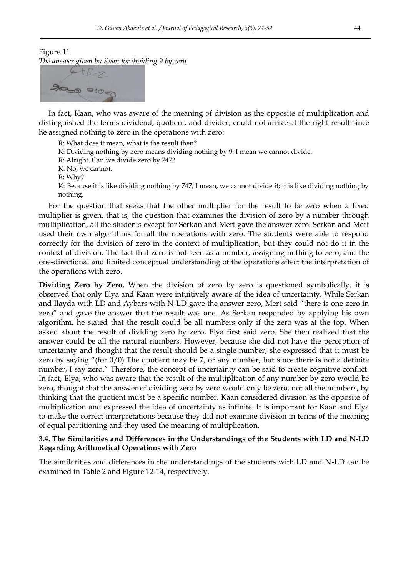Figure 11

*The answer given by Kaan for dividing 9 by zero*



In fact, Kaan, who was aware of the meaning of division as the opposite of multiplication and distinguished the terms dividend, quotient, and divider, could not arrive at the right result since he assigned nothing to zero in the operations with zero:

R: What does it mean, what is the result then?

K: Dividing nothing by zero means dividing nothing by 9. I mean we cannot divide.

R: Alright. Can we divide zero by 747?

K: No, we cannot.

R: Why?

K: Because it is like dividing nothing by 747, I mean, we cannot divide it; it is like dividing nothing by nothing.

For the question that seeks that the other multiplier for the result to be zero when a fixed multiplier is given, that is, the question that examines the division of zero by a number through multiplication, all the students except for Serkan and Mert gave the answer zero. Serkan and Mert used their own algorithms for all the operations with zero. The students were able to respond correctly for the division of zero in the context of multiplication, but they could not do it in the context of division. The fact that zero is not seen as a number, assigning nothing to zero, and the one-directional and limited conceptual understanding of the operations affect the interpretation of the operations with zero.

**Dividing Zero by Zero.** When the division of zero by zero is questioned symbolically, it is observed that only Elya and Kaan were intuitively aware of the idea of uncertainty. While Serkan and Ilayda with LD and Aybars with N-LD gave the answer zero, Mert said "there is one zero in zero" and gave the answer that the result was one. As Serkan responded by applying his own algorithm, he stated that the result could be all numbers only if the zero was at the top. When asked about the result of dividing zero by zero, Elya first said zero. She then realized that the answer could be all the natural numbers. However, because she did not have the perception of uncertainty and thought that the result should be a single number, she expressed that it must be zero by saying "(for  $0/0$ ) The quotient may be 7, or any number, but since there is not a definite number, I say zero." Therefore, the concept of uncertainty can be said to create cognitive conflict. In fact, Elya, who was aware that the result of the multiplication of any number by zero would be zero, thought that the answer of dividing zero by zero would only be zero, not all the numbers, by thinking that the quotient must be a specific number. Kaan considered division as the opposite of multiplication and expressed the idea of uncertainty as infinite. It is important for Kaan and Elya to make the correct interpretations because they did not examine division in terms of the meaning of equal partitioning and they used the meaning of multiplication.

## **3.4. The Similarities and Differences in the Understandings of the Students with LD and N-LD Regarding Arithmetical Operations with Zero**

The similarities and differences in the understandings of the students with LD and N-LD can be examined in Table 2 and Figure 12-14, respectively.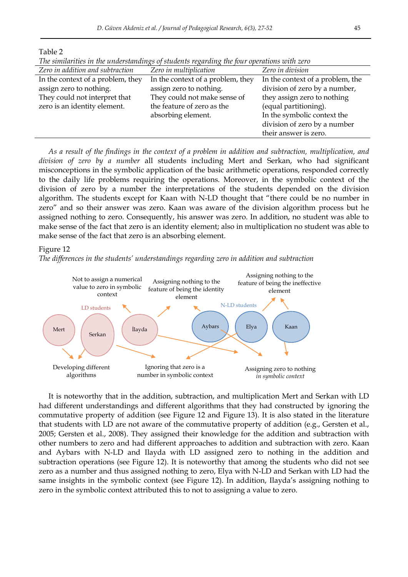Table 2

| Zero in addition and subtraction  | Zero in multiplication            | Zero in division                 |
|-----------------------------------|-----------------------------------|----------------------------------|
| In the context of a problem, they | In the context of a problem, they | In the context of a problem, the |
| assign zero to nothing.           | assign zero to nothing.           | division of zero by a number,    |
| They could not interpret that     | They could not make sense of      | they assign zero to nothing      |
| zero is an identity element.      | the feature of zero as the        | (equal partitioning).            |
|                                   | absorbing element.                | In the symbolic context the      |
|                                   |                                   | division of zero by a number     |
|                                   |                                   | their answer is zero.            |

*The similarities in the understandings of students regarding the four operations with zero* 

As a result of the findings in the context of a problem in addition and subtraction, multiplication, and *division of zero by a number* all students including Mert and Serkan, who had significant misconceptions in the symbolic application of the basic arithmetic operations, responded correctly to the daily life problems requiring the operations. Moreover, in the symbolic context of the division of zero by a number the interpretations of the students depended on the division algorithm. The students except for Kaan with N-LD thought that "there could be no number in zero" and so their answer was zero. Kaan was aware of the division algorithm process but he assigned nothing to zero. Consequently, his answer was zero. In addition, no student was able to make sense of the fact that zero is an identity element; also in multiplication no student was able to make sense of the fact that zero is an absorbing element.

#### Figure 12





It is noteworthy that in the addition, subtraction, and multiplication Mert and Serkan with LD had different understandings and different algorithms that they had constructed by ignoring the commutative property of addition (see Figure 12 and Figure 13). It is also stated in the literature that students with LD are not aware of the commutative property of addition (e.g., Gersten et al., 2005; Gersten et al., 2008). They assigned their knowledge for the addition and subtraction with other numbers to zero and had different approaches to addition and subtraction with zero. Kaan and Aybars with N-LD and Ilayda with LD assigned zero to nothing in the addition and subtraction operations (see Figure 12). It is noteworthy that among the students who did not see zero as a number and thus assigned nothing to zero, Elya with N-LD and Serkan with LD had the same insights in the symbolic context (see Figure 12). In addition, Ilayda's assigning nothing to zero in the symbolic context attributed this to not to assigning a value to zero.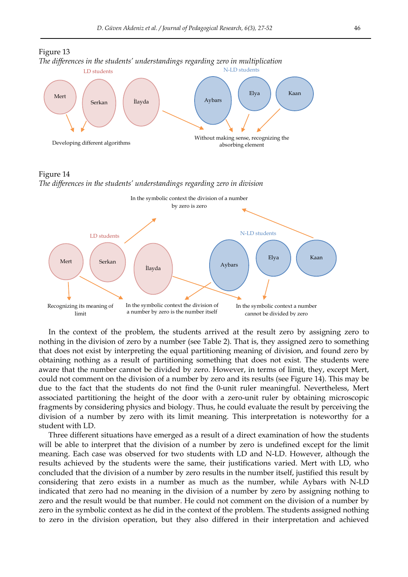

Figure 14 *The differences in the students' understandings regarding zero in division*



In the context of the problem, the students arrived at the result zero by assigning zero to nothing in the division of zero by a number (see Table 2). That is, they assigned zero to something that does not exist by interpreting the equal partitioning meaning of division, and found zero by obtaining nothing as a result of partitioning something that does not exist. The students were aware that the number cannot be divided by zero. However, in terms of limit, they, except Mert, could not comment on the division of a number by zero and its results (see Figure 14). This may be due to the fact that the students do not find the 0-unit ruler meaningful. Nevertheless, Mert associated partitioning the height of the door with a zero-unit ruler by obtaining microscopic fragments by considering physics and biology. Thus, he could evaluate the result by perceiving the division of a number by zero with its limit meaning. This interpretation is noteworthy for a student with LD.

Three different situations have emerged as a result of a direct examination of how the students will be able to interpret that the division of a number by zero is undefined except for the limit meaning. Each case was observed for two students with LD and N-LD. However, although the results achieved by the students were the same, their justifications varied. Mert with LD, who concluded that the division of a number by zero results in the number itself, justified this result by considering that zero exists in a number as much as the number, while Aybars with N-LD indicated that zero had no meaning in the division of a number by zero by assigning nothing to zero and the result would be that number. He could not comment on the division of a number by zero in the symbolic context as he did in the context of the problem. The students assigned nothing to zero in the division operation, but they also differed in their interpretation and achieved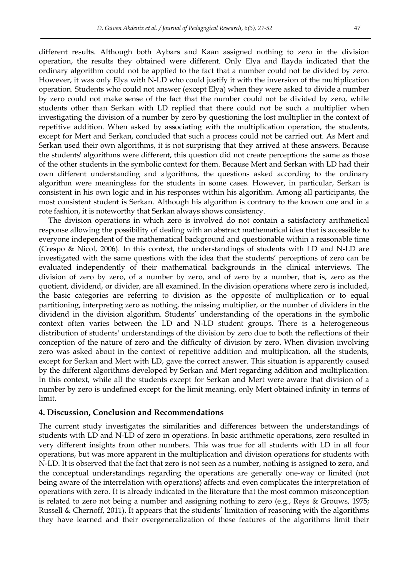different results. Although both Aybars and Kaan assigned nothing to zero in the division operation, the results they obtained were different. Only Elya and Ilayda indicated that the ordinary algorithm could not be applied to the fact that a number could not be divided by zero. However, it was only Elya with N-LD who could justify it with the inversion of the multiplication operation. Students who could not answer (except Elya) when they were asked to divide a number by zero could not make sense of the fact that the number could not be divided by zero, while students other than Serkan with LD replied that there could not be such a multiplier when investigating the division of a number by zero by questioning the lost multiplier in the context of repetitive addition. When asked by associating with the multiplication operation, the students, except for Mert and Serkan, concluded that such a process could not be carried out. As Mert and Serkan used their own algorithms, it is not surprising that they arrived at these answers. Because the students' algorithms were different, this question did not create perceptions the same as those of the other students in the symbolic context for them. Because Mert and Serkan with LD had their own different understanding and algorithms, the questions asked according to the ordinary algorithm were meaningless for the students in some cases. However, in particular, Serkan is consistent in his own logic and in his responses within his algorithm. Among all participants, the most consistent student is Serkan. Although his algorithm is contrary to the known one and in a rote fashion, it is noteworthy that Serkan always shows consistency.

The division operations in which zero is involved do not contain a satisfactory arithmetical response allowing the possibility of dealing with an abstract mathematical idea that is accessible to everyone independent of the mathematical background and questionable within a reasonable time (Crespo & Nicol, 2006). In this context, the understandings of students with LD and N-LD are investigated with the same questions with the idea that the students' perceptions of zero can be evaluated independently of their mathematical backgrounds in the clinical interviews. The division of zero by zero, of a number by zero, and of zero by a number, that is, zero as the quotient, dividend, or divider, are all examined. In the division operations where zero is included, the basic categories are referring to division as the opposite of multiplication or to equal partitioning, interpreting zero as nothing, the missing multiplier, or the number of dividers in the dividend in the division algorithm. Students' understanding of the operations in the symbolic context often varies between the LD and N-LD student groups. There is a heterogeneous distribution of students' understandings of the division by zero due to both the reflections of their conception of the nature of zero and the difficulty of division by zero. When division involving zero was asked about in the context of repetitive addition and multiplication, all the students, except for Serkan and Mert with LD, gave the correct answer. This situation is apparently caused by the different algorithms developed by Serkan and Mert regarding addition and multiplication. In this context, while all the students except for Serkan and Mert were aware that division of a number by zero is undefined except for the limit meaning, only Mert obtained infinity in terms of limit.

## **4. Discussion, Conclusion and Recommendations**

The current study investigates the similarities and differences between the understandings of students with LD and N-LD of zero in operations. In basic arithmetic operations, zero resulted in very different insights from other numbers. This was true for all students with LD in all four operations, but was more apparent in the multiplication and division operations for students with N-LD. It is observed that the fact that zero is not seen as a number, nothing is assigned to zero, and the conceptual understandings regarding the operations are generally one-way or limited (not being aware of the interrelation with operations) affects and even complicates the interpretation of operations with zero. It is already indicated in the literature that the most common misconception is related to zero not being a number and assigning nothing to zero (e.g., Reys & Grouws, 1975; Russell & Chernoff, 2011). It appears that the students' limitation of reasoning with the algorithms they have learned and their overgeneralization of these features of the algorithms limit their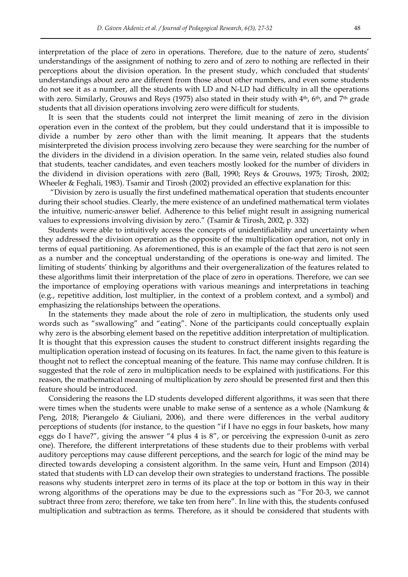interpretation of the place of zero in operations. Therefore, due to the nature of zero, students' understandings of the assignment of nothing to zero and of zero to nothing are reflected in their perceptions about the division operation. In the present study, which concluded that students' understandings about zero are different from those about other numbers, and even some students do not see it as a number, all the students with LD and N-LD had difficulty in all the operations with zero. Similarly, Grouws and Reys (1975) also stated in their study with  $4<sup>th</sup>$ , 6<sup>th</sup>, and 7<sup>th</sup> grade students that all division operations involving zero were difficult for students.

It is seen that the students could not interpret the limit meaning of zero in the division operation even in the context of the problem, but they could understand that it is impossible to divide a number by zero other than with the limit meaning. It appears that the students misinterpreted the division process involving zero because they were searching for the number of the dividers in the dividend in a division operation. In the same vein, related studies also found that students, teacher candidates, and even teachers mostly looked for the number of dividers in the dividend in division operations with zero (Ball, 1990; Reys & Grouws, 1975; Tirosh, 2002; Wheeler & Feghali, 1983). Tsamir and Tirosh (2002) provided an effective explanation for this:

―Division by zero is usually the first undefined mathematical operation that students encounter during their school studies. Clearly, the mere existence of an undefined mathematical term violates the intuitive, numeric-answer belief. Adherence to this belief might result in assigning numerical values to expressions involving division by zero." (Tsamir & Tirosh, 2002, p. 332)

Students were able to intuitively access the concepts of unidentifiability and uncertainty when they addressed the division operation as the opposite of the multiplication operation, not only in terms of equal partitioning. As aforementioned, this is an example of the fact that zero is not seen as a number and the conceptual understanding of the operations is one-way and limited. The limiting of students' thinking by algorithms and their overgeneralization of the features related to these algorithms limit their interpretation of the place of zero in operations. Therefore, we can see the importance of employing operations with various meanings and interpretations in teaching (e.g., repetitive addition, lost multiplier, in the context of a problem context, and a symbol) and emphasizing the relationships between the operations.

In the statements they made about the role of zero in multiplication, the students only used words such as "swallowing" and "eating". None of the participants could conceptually explain why zero is the absorbing element based on the repetitive addition interpretation of multiplication. It is thought that this expression causes the student to construct different insights regarding the multiplication operation instead of focusing on its features. In fact, the name given to this feature is thought not to reflect the conceptual meaning of the feature. This name may confuse children. It is suggested that the role of zero in multiplication needs to be explained with justifications. For this reason, the mathematical meaning of multiplication by zero should be presented first and then this feature should be introduced.

Considering the reasons the LD students developed different algorithms, it was seen that there were times when the students were unable to make sense of a sentence as a whole (Namkung & Peng, 2018; Pierangelo & Giuliani, 2006), and there were differences in the verbal auditory perceptions of students (for instance, to the question "if I have no eggs in four baskets, how many eggs do I have?", giving the answer "4 plus 4 is  $8$ ", or perceiving the expression 0-unit as zero one). Therefore, the different interpretations of these students due to their problems with verbal auditory perceptions may cause different perceptions, and the search for logic of the mind may be directed towards developing a consistent algorithm. In the same vein, Hunt and Empson (2014) stated that students with LD can develop their own strategies to understand fractions. The possible reasons why students interpret zero in terms of its place at the top or bottom in this way in their wrong algorithms of the operations may be due to the expressions such as "For 20-3, we cannot subtract three from zero; therefore, we take ten from here". In line with this, the students confused multiplication and subtraction as terms. Therefore, as it should be considered that students with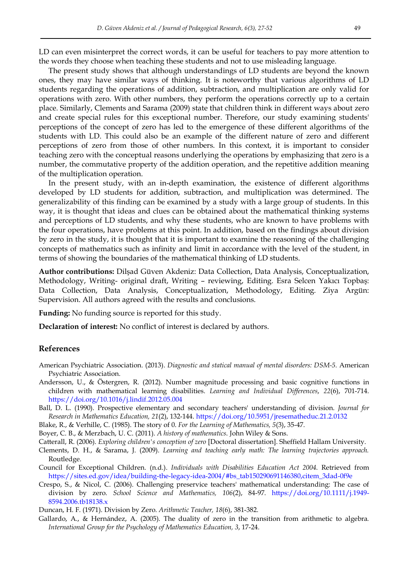LD can even misinterpret the correct words, it can be useful for teachers to pay more attention to the words they choose when teaching these students and not to use misleading language.

The present study shows that although understandings of LD students are beyond the known ones, they may have similar ways of thinking. It is noteworthy that various algorithms of LD students regarding the operations of addition, subtraction, and multiplication are only valid for operations with zero. With other numbers, they perform the operations correctly up to a certain place. Similarly, Clements and Sarama (2009) state that children think in different ways about zero and create special rules for this exceptional number. Therefore, our study examining students' perceptions of the concept of zero has led to the emergence of these different algorithms of the students with LD. This could also be an example of the different nature of zero and different perceptions of zero from those of other numbers. In this context, it is important to consider teaching zero with the conceptual reasons underlying the operations by emphasizing that zero is a number, the commutative property of the addition operation, and the repetitive addition meaning of the multiplication operation.

In the present study, with an in-depth examination, the existence of different algorithms developed by LD students for addition, subtraction, and multiplication was determined. The generalizability of this finding can be examined by a study with a large group of students. In this way, it is thought that ideas and clues can be obtained about the mathematical thinking systems and perceptions of LD students, and why these students, who are known to have problems with the four operations, have problems at this point. In addition, based on the findings about division by zero in the study, it is thought that it is important to examine the reasoning of the challenging concepts of mathematics such as infinity and limit in accordance with the level of the student, in terms of showing the boundaries of the mathematical thinking of LD students.

**Author contributions:** Dilşad Güven Akdeniz: Data Collection, Data Analysis, Conceptualization, Methodology, Writing- original draft, Writing – reviewing, Editing. Esra Selcen Yakıcı Topbaş: Data Collection, Data Analysis, Conceptualization, Methodology, Editing. Ziya Argün: Supervision. All authors agreed with the results and conclusions.

**Funding:** No funding source is reported for this study.

**Declaration of interest:** No conflict of interest is declared by authors.

## **References**

- American Psychiatric Association. (2013). *Diagnostic and statical manual of mental disorders: DSM-5.* American Psychiatric Association.
- Andersson, U., & Östergren, R. (2012). Number magnitude processing and basic cognitive functions in children with mathematical learning disabilities. *Learning and Individual Differences*, *22*(6), 701-714. <https://doi.org/10.1016/j.lindif.2012.05.004>
- Ball, D. L. (1990). Prospective elementary and secondary teachers' understanding of division. *Journal for Research in Mathematics Education, 21*(2), 132-144. <https://doi.org/10.5951/jresematheduc.21.2.0132>
- Blake, R., & Verhille, C. (1985). The story of 0. *For the Learning of Mathematics, 5*(3), 35-47.
- Boyer, C. B., & Merzbach, U. C. (2011). *A history of mathematics*. John Wiley & Sons.
- Catterall, R. (2006). *Exploring children's conception of zero* [Doctoral dissertation]. Sheffield Hallam University.
- Clements, D. H., & Sarama, J. (2009). *Learning and teaching early math: The learning trajectories approach.* Routledge.
- Council for Exceptional Children. (n.d.). *Individuals with Disabilities Education Act 2004*. Retrieved from [https://sites.ed.gov/idea/building-the-legacy-idea-2004/#bs\\_tab150290691146380,citem\\_3dad-0f9e](https://sites.ed.gov/idea/building-the-legacy-idea-2004/#bs_tab150290691146380,citem_3dad-0f9e)
- Crespo, S., & Nicol, C. (2006). Challenging preservice teachers' mathematical understanding: The case of division by zero. *School Science and Mathematics, 106*(2), 84-97. [https://doi.org/10.1111/j.1949-](https://doi.org/10.1111/j.1949-8594.2006.tb18138.x) [8594.2006.tb18138.x](https://doi.org/10.1111/j.1949-8594.2006.tb18138.x)
- Duncan, H. F. (1971). Division by Zero. *Arithmetic Teacher, 18*(6), 381-382.
- Gallardo, A., & Hernández, A. (2005). The duality of zero in the transition from arithmetic to algebra*. International Group for the Psychology of Mathematics Education, 3*, 17-24.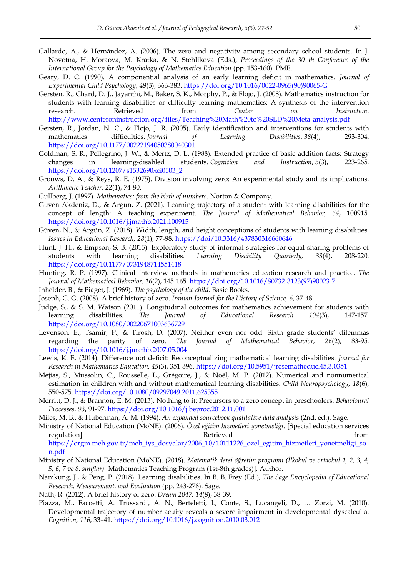- Gallardo, A., & Hernández, A. (2006). The zero and negativity among secondary school students. In J. Novotna, H. Moraova, M. Kratka, & N. Stehlikova (Eds.), *Proceedings of the 30 th Conference of the International Group for the Psychology of Mathematics Education* (pp. 153-160). PME.
- Geary, D. C. (1990). A componential analysis of an early learning deficit in mathematics. *Journal of Experimental Child Psychology*, *49*(3), 363-383. [https://doi.org/10.1016/0022-0965\(90\)90065-G](https://doi.org/10.1016/0022-0965(90)90065-G)
- Gersten, R., Chard, D. J., Jayanthi, M., Baker, S. K., Morphy, P., & Flojo, J. (2008). Mathematics instruction for students with learning disabilities or difficulty learning mathematics: A synthesis of the intervention research. Retrieved from *Center on Instruction*. <http://www.centeroninstruction.org/files/Teaching%20Math%20to%20SLD%20Meta-analysis.pdf>
- Gersten, R., Jordan, N. C., & Flojo, J. R. (2005). Early identification and interventions for students with mathematics difficulties. *Journal of Learning Disabilities*, *38*(4), 293-304. <https://doi.org/10.1177/00222194050380040301>
- Goldman, S. R., Pellegrino, J. W., & Mertz, D. L. (1988). Extended practice of basic addition facts: Strategy changes in learning-disabled students. *Cognition and Instruction*, *5*(3), 223-265. [https://doi.org/10.1207/s1532690xci0503\\_2](https://doi.org/10.1207/s1532690xci0503_2)
- Grouws, D. A., & Reys, R. E. (1975). Division involving zero: An experimental study and its implications. *Arithmetic Teacher, 22*(1), 74-80.
- Gullberg, J. (1997). *Mathematics: from the birth of numbers*. Norton & Company.
- Güven Akdeniz, D., & Argün, Z. (2021). Learning trajectory of a student with learning disabilities for the concept of length: A teaching experiment. *The Journal of Mathematical Behavior, 64*, 100915. <https://doi.org/10.1016/j.jmathb.2021.100915>
- Güven, N., & Argün, Z. (2018). Width, length, and height conceptions of students with learning disabilities*. Issues in Educational Research, 28*(1), 77-98. <https://doi/10.3316/437830316660646>
- Hunt, J. H., & Empson, S. B. (2015). Exploratory study of informal strategies for equal sharing problems of students with learning disabilities. *Learning Disability Quarterly, 38*(4), 208-220. <https://doi.org/10.1177/0731948714551418>
- Hunting, R. P. (1997). Clinical interview methods in mathematics education research and practice. *The Journal of Mathematical Behavior, 16*(2), 145-165. [https://doi.org/10.1016/S0732-3123\(97\)90023-7](https://doi.org/10.1016/S0732-3123(97)90023-7)
- Inhelder, B., & Piaget, J. (1969). *The psychology of the child.* Basic Books.
- Joseph, G. G. (2008). A brief history of zero. *Iranian Journal for the History of Science, 6*, 37-48
- Judge, S., & S. M. Watson (2011). Longitudinal outcomes for mathematics achievement for students with learning disabilities. *The Journal of Educational Research 104*(3), 147-157. <https://doi.org/10.1080/00220671003636729>
- Levenson, E., Tsamir, P., & Tirosh, D. (2007). Neither even nor odd: Sixth grade students' dilemmas regarding the parity of zero. *The Journal of Mathematical Behavior, 26*(2), 83-95. <https://doi.org/10.1016/j.jmathb.2007.05.004>
- Lewis, K. E. (2014). Difference not deficit: Reconceptualizing mathematical learning disabilities. *Journal for Research in Mathematics Education, 45*(3), 351-396. <https://doi.org/10.5951/jresematheduc.45.3.0351>
- Mejias, S., Mussolin, C., Rousselle, L., Grégoire, J., & Noël, M. P. (2012). Numerical and nonnumerical estimation in children with and without mathematical learning disabilities. *Child Neuropsychology*, *18*(6), 550-575. <https://doi.org/10.1080/09297049.2011.625355>
- Merritt, D. J., & Brannon, E. M. (2013). Nothing to it: Precursors to a zero concept in preschoolers. *Behavioural Processes, 93*, 91-97. <https://doi.org/10.1016/j.beproc.2012.11.001>
- Miles, M. B., & Huberman, A. M. (1994). *An expanded sourcebook qualitative data analysis* (2nd. ed.). Sage.
- Ministry of National Education (MoNE). (2006). *Özel eğitim hizmetleri yönetmeliği*. [Special education services regulation] Retrieved from [https://orgm.meb.gov.tr/meb\\_iys\\_dosyalar/2006\\_10/10111226\\_ozel\\_egitim\\_hizmetleri\\_yonetmeligi\\_so](https://orgm.meb.gov.tr/meb_iys_dosyalar/2006_10/10111226_ozel_egitim_hizmetleri_yonetmeligi_son.pdf)

[n.pdf](https://orgm.meb.gov.tr/meb_iys_dosyalar/2006_10/10111226_ozel_egitim_hizmetleri_yonetmeligi_son.pdf)

- Ministry of National Education (MoNE). (2018). *Matematik dersi öğretim programı (İlkokul ve ortaokul 1, 2, 3, 4, 5, 6, 7 ve 8. sınıflar)* [Mathematics Teaching Program (1st-8th grades)]. Author.
- Namkung, J., & Peng, P. (2018). Learning disabilities. In B. B. Frey (Ed.), *The Sage Encyclopedia of Educational Research, Measurement, and Evaluation* (pp. 243-278). Sage.
- Nath, R. (2012). A brief history of zero. *Dream 2047, 14*(8), 38-39.
- Piazza, M., Facoetti, A. Trussardi, A. N., Berteletti, I., Conte, S., Lucangeli, D., … Zorzi, M. (2010). Developmental trajectory of number acuity reveals a severe impairment in developmental dyscalculia. *Cognition, 116*, 33–41. <https://doi.org/10.1016/j.cognition.2010.03.012>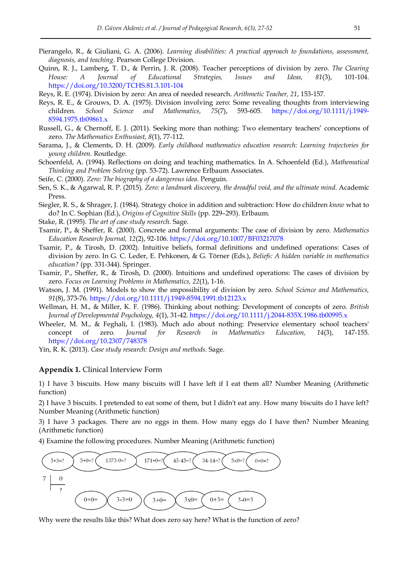- Pierangelo, R., & Giuliani, G. A. (2006). *Learning disabilities: A practical approach to foundations, assessment, diagnosis, and teaching*. Pearson College Division.
- Quinn, R. J., Lamberg, T. D., & Perrin, J. R. (2008). Teacher perceptions of division by zero. *The Clearing House: A Journal of Educational Strategies, Issues and Ideas, 81*(3), 101-104. <https://doi.org/10.3200/TCHS.81.3.101-104>
- Reys, R. E. (1974). Division by zero: An area of needed research. *Arithmetic Teacher, 21*, 153-157.
- Reys, R. E., & Grouws, D. A. (1975). Division involving zero: Some revealing thoughts from interviewing children. *School Science and Mathematics, 75*(7), 593-605. [https://doi.org/10.1111/j.1949-](https://doi.org/10.1111/j.1949-8594.1975.tb09861.x) [8594.1975.tb09861.x](https://doi.org/10.1111/j.1949-8594.1975.tb09861.x)
- Russell, G., & Chernoff, E. J. (2011). Seeking more than nothing: Two elementary teachers' conceptions of zero. *The Mathematics Enthusiast, 8*(1), 77-112.
- Sarama, J., & Clements, D. H. (2009). *Early childhood mathematics education research: Learning trajectories for young children.* Routledge.
- Schoenfeld, A. (1994). Reflections on doing and teaching mathematics. In A. Schoenfeld (Ed.), *Mathematical Thinking and Problem Solving* (pp. 53-72). Lawrence Erlbaum Associates.
- Seife, C. (2000). *Zero: The biography of a dangerous idea*. Penguin.
- Sen, S. K., & Agarwal, R. P. (2015). *Zero: a landmark discovery, the dreadful void, and the ultimate mind*. Academic Press.
- Siegler, R. S., & Shrager, J. (1984). Strategy choice in addition and subtraction: How do children *know* what to do? In C. Sophian (Ed.), *Origins of Cognitive Skills* (pp. 229–293). Erlbaum.
- Stake, R. (1995). *The art of case study research*. Sage.
- Tsamir, P., & Sheffer, R. (2000). Concrete and formal arguments: The case of division by zero. *Mathematics Education Research Journal, 12*(2), 92-106. <https://doi.org/10.1007/BF03217078>
- Tsamir, P., & Tirosh, D. (2002). Intuitive beliefs, formal definitions and undefined operations: Cases of division by zero. In G. C. Leder, E. Pehkonen, & G. Törner (Eds.), *Beliefs: A hidden variable in mathematics education?* (pp. 331-344). Springer.
- Tsamir, P., Sheffer, R., & Tirosh, D. (2000). Intuitions and undefined operations: The cases of division by zero. *Focus on Learning Problems in Mathematics, 22*(1), 1-16.
- Watson, J. M. (1991). Models to show the ımpossibility of division by zero. *School Science and Mathematics, 91*(8), 373-76. <https://doi.org/10.1111/j.1949-8594.1991.tb12123.x>
- Wellman, H. M., & Miller, K. F. (1986). Thinking about nothing: Development of concepts of zero. *British Journal of Developmental Psychology, 4*(1), 31-42. <https://doi.org/10.1111/j.2044-835X.1986.tb00995.x>
- Wheeler, M. M., & Feghali, I. (1983). Much ado about nothing: Preservice elementary school teachers' concept of zero*. Journal for Research in Mathematics Education, 14*(3), 147-155. <https://doi.org/10.2307/748378>

Yin, R. K. (2013). *Case study research: Design and methods*. Sage.

#### **Appendix 1.** Clinical Interview Form

1) I have 3 biscuits. How many biscuits will I have left if I eat them all? Number Meaning (Arithmetic function)

2) I have 3 biscuits. I pretended to eat some of them, but I didn't eat any. How many biscuits do I have left? Number Meaning (Arithmetic function)

3) I have 3 packages. There are no eggs in them. How many eggs do I have then? Number Meaning (Arithmetic function)

4) Examine the following procedures. Number Meaning (Arithmetic function)



Why were the results like this? What does zero say here? What is the function of zero?